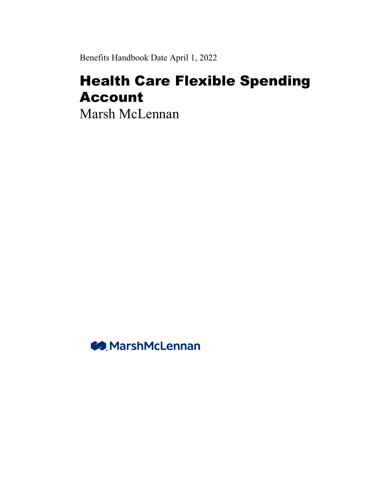Benefits Handbook Date April 1, 2022

# Health Care Flexible Spending Account

Marsh McLennan

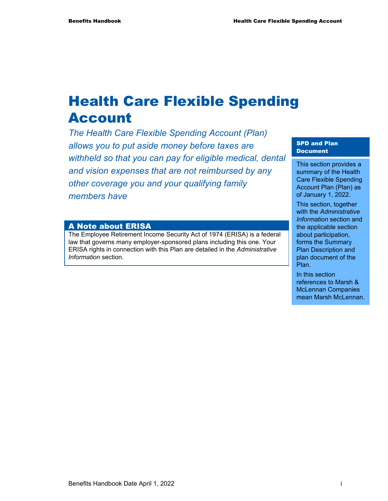# Health Care Flexible Spending Account

*The Health Care Flexible Spending Account (Plan) allows you to put aside money before taxes are withheld so that you can pay for eligible medical, dental and vision expenses that are not reimbursed by any other coverage you and your qualifying family members have* 

#### A Note about ERISA

The Employee Retirement Income Security Act of 1974 (ERISA) is a federal law that governs many employer-sponsored plans including this one. Your ERISA rights in connection with this Plan are detailed in the *Administrative Information* section.

#### SPD and Plan Document

This section provides a summary of the Health Care Flexible Spending Account Plan (Plan) as of January 1, 2022.

This section, together with the *Administrative Information* section and the applicable section about participation, forms the Summary Plan Description and plan document of the Plan.

In this section references to Marsh & McLennan Companies mean Marsh McLennan.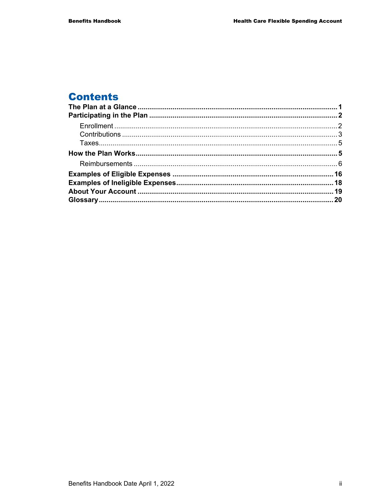# **Contents**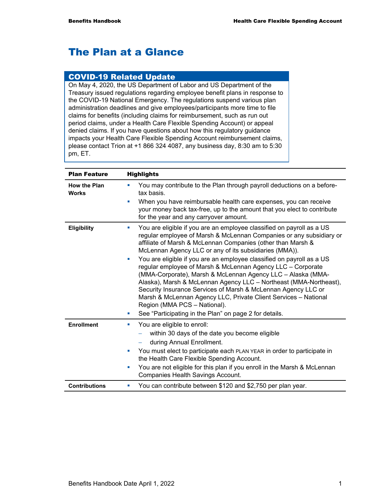# The Plan at a Glance

#### COVID-19 Related Update

On May 4, 2020, the US Department of Labor and US Department of the Treasury issued regulations regarding employee benefit plans in response to the COVID-19 National Emergency. The regulations suspend various plan administration deadlines and give employees/participants more time to file claims for benefits (including claims for reimbursement, such as run out period claims, under a Health Care Flexible Spending Account) or appeal denied claims. If you have questions about how this regulatory guidance impacts your Health Care Flexible Spending Account reimbursement claims, please contact Trion at +1 866 324 4087, any business day, 8:30 am to 5:30 pm, ET.

| <b>Plan Feature</b>                 | <b>Highlights</b>                                                                                                                                                                                                                                                                                                                                                                                                                                                                                                                                                                                                                                                                                                                                                                                      |  |  |
|-------------------------------------|--------------------------------------------------------------------------------------------------------------------------------------------------------------------------------------------------------------------------------------------------------------------------------------------------------------------------------------------------------------------------------------------------------------------------------------------------------------------------------------------------------------------------------------------------------------------------------------------------------------------------------------------------------------------------------------------------------------------------------------------------------------------------------------------------------|--|--|
| <b>How the Plan</b><br><b>Works</b> | You may contribute to the Plan through payroll deductions on a before-<br>п<br>tax basis.                                                                                                                                                                                                                                                                                                                                                                                                                                                                                                                                                                                                                                                                                                              |  |  |
|                                     | When you have reimbursable health care expenses, you can receive<br>your money back tax-free, up to the amount that you elect to contribute<br>for the year and any carryover amount.                                                                                                                                                                                                                                                                                                                                                                                                                                                                                                                                                                                                                  |  |  |
| Eligibility                         | You are eligible if you are an employee classified on payroll as a US<br>$\blacksquare$<br>regular employee of Marsh & McLennan Companies or any subsidiary or<br>affiliate of Marsh & McLennan Companies (other than Marsh &<br>McLennan Agency LLC or any of its subsidiaries (MMA)).<br>You are eligible if you are an employee classified on payroll as a US<br>×<br>regular employee of Marsh & McLennan Agency LLC - Corporate<br>(MMA-Corporate), Marsh & McLennan Agency LLC - Alaska (MMA-<br>Alaska), Marsh & McLennan Agency LLC - Northeast (MMA-Northeast),<br>Security Insurance Services of Marsh & McLennan Agency LLC or<br>Marsh & McLennan Agency LLC, Private Client Services - National<br>Region (MMA PCS - National).<br>See "Participating in the Plan" on page 2 for details. |  |  |
| <b>Enrollment</b>                   | You are eligible to enroll:<br>ш                                                                                                                                                                                                                                                                                                                                                                                                                                                                                                                                                                                                                                                                                                                                                                       |  |  |
|                                     | within 30 days of the date you become eligible                                                                                                                                                                                                                                                                                                                                                                                                                                                                                                                                                                                                                                                                                                                                                         |  |  |
|                                     | during Annual Enrollment.<br>$\qquad \qquad -$                                                                                                                                                                                                                                                                                                                                                                                                                                                                                                                                                                                                                                                                                                                                                         |  |  |
|                                     | You must elect to participate each PLAN YEAR in order to participate in<br>$\blacksquare$<br>the Health Care Flexible Spending Account.                                                                                                                                                                                                                                                                                                                                                                                                                                                                                                                                                                                                                                                                |  |  |
|                                     | You are not eligible for this plan if you enroll in the Marsh & McLennan<br>a,<br>Companies Health Savings Account.                                                                                                                                                                                                                                                                                                                                                                                                                                                                                                                                                                                                                                                                                    |  |  |
| <b>Contributions</b>                | You can contribute between \$120 and \$2,750 per plan year.<br>ш                                                                                                                                                                                                                                                                                                                                                                                                                                                                                                                                                                                                                                                                                                                                       |  |  |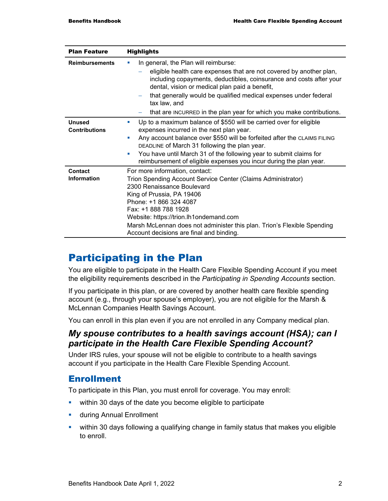| <b>Plan Feature</b>                   | <b>Highlights</b>                                                                                                                                                                                                                                                                                                                                                                                                                         |  |  |
|---------------------------------------|-------------------------------------------------------------------------------------------------------------------------------------------------------------------------------------------------------------------------------------------------------------------------------------------------------------------------------------------------------------------------------------------------------------------------------------------|--|--|
| <b>Reimbursements</b>                 | In general, the Plan will reimburse:<br>×<br>eligible health care expenses that are not covered by another plan,<br>including copayments, deductibles, coinsurance and costs after your<br>dental, vision or medical plan paid a benefit,<br>that generally would be qualified medical expenses under federal<br>tax law, and<br>that are INCURRED in the plan year for which you make contributions.                                     |  |  |
| <b>Unused</b><br><b>Contributions</b> | Up to a maximum balance of \$550 will be carried over for eligible<br><b>COL</b><br>expenses incurred in the next plan year.<br>Any account balance over \$550 will be forfeited after the CLAIMS FILING<br>$\mathcal{L}_{\mathcal{A}}$<br>DEADLINE of March 31 following the plan year.<br>You have until March 31 of the following year to submit claims for<br>ш<br>reimbursement of eligible expenses you incur during the plan year. |  |  |
| Contact<br><b>Information</b>         | For more information, contact:<br>Trion Spending Account Service Center (Claims Administrator)<br>2300 Renaissance Boulevard<br>King of Prussia, PA 19406<br>Phone: +1 866 324 4087<br>Fax: +1 888 788 1928<br>Website: https://trion.lh1ondemand.com<br>Marsh McLennan does not administer this plan. Trion's Flexible Spending<br>Account decisions are final and binding.                                                              |  |  |

# Participating in the Plan

You are eligible to participate in the Health Care Flexible Spending Account if you meet the eligibility requirements described in the *Participating in Spending Accounts* section.

If you participate in this plan, or are covered by another health care flexible spending account (e.g., through your spouse's employer), you are not eligible for the Marsh & McLennan Companies Health Savings Account.

You can enroll in this plan even if you are not enrolled in any Company medical plan.

#### *My spouse contributes to a health savings account (HSA); can I participate in the Health Care Flexible Spending Account?*

Under IRS rules, your spouse will not be eligible to contribute to a health savings account if you participate in the Health Care Flexible Spending Account.

#### Enrollment

To participate in this Plan, you must enroll for coverage. You may enroll:

- **•** within 30 days of the date you become eligible to participate
- **u.** during Annual Enrollment
- within 30 days following a qualifying change in family status that makes you eligible to enroll.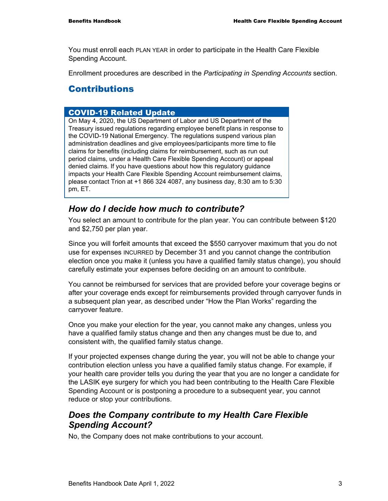You must enroll each PLAN YEAR in order to participate in the Health Care Flexible Spending Account.

Enrollment procedures are described in the *Participating in Spending Accounts* section.

#### Contributions

#### COVID-19 Related Update

On May 4, 2020, the US Department of Labor and US Department of the Treasury issued regulations regarding employee benefit plans in response to the COVID-19 National Emergency. The regulations suspend various plan administration deadlines and give employees/participants more time to file claims for benefits (including claims for reimbursement, such as run out period claims, under a Health Care Flexible Spending Account) or appeal denied claims. If you have questions about how this regulatory guidance impacts your Health Care Flexible Spending Account reimbursement claims, please contact Trion at +1 866 324 4087, any business day, 8:30 am to 5:30 pm, ET.

#### *How do I decide how much to contribute?*

You select an amount to contribute for the plan year. You can contribute between \$120 and \$2,750 per plan year.

Since you will forfeit amounts that exceed the \$550 carryover maximum that you do not use for expenses INCURRED by December 31 and you cannot change the contribution election once you make it (unless you have a qualified family status change), you should carefully estimate your expenses before deciding on an amount to contribute.

You cannot be reimbursed for services that are provided before your coverage begins or after your coverage ends except for reimbursements provided through carryover funds in a subsequent plan year, as described under "How the Plan Works" regarding the carryover feature.

Once you make your election for the year, you cannot make any changes, unless you have a qualified family status change and then any changes must be due to, and consistent with, the qualified family status change.

If your projected expenses change during the year, you will not be able to change your contribution election unless you have a qualified family status change. For example, if your health care provider tells you during the year that you are no longer a candidate for the LASIK eye surgery for which you had been contributing to the Health Care Flexible Spending Account or is postponing a procedure to a subsequent year, you cannot reduce or stop your contributions.

#### *Does the Company contribute to my Health Care Flexible Spending Account?*

No, the Company does not make contributions to your account.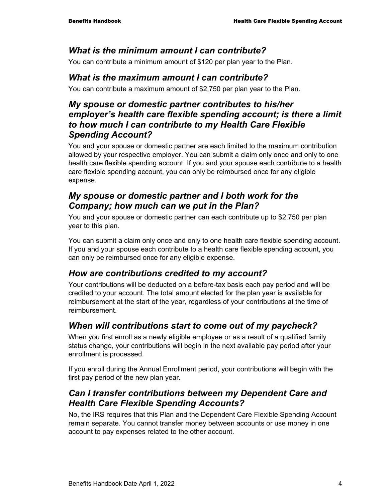#### *What is the minimum amount I can contribute?*

You can contribute a minimum amount of \$120 per plan year to the Plan.

#### *What is the maximum amount I can contribute?*

You can contribute a maximum amount of \$2,750 per plan year to the Plan.

#### *My spouse or domestic partner contributes to his/her employer's health care flexible spending account; is there a limit to how much I can contribute to my Health Care Flexible Spending Account?*

You and your spouse or domestic partner are each limited to the maximum contribution allowed by your respective employer. You can submit a claim only once and only to one health care flexible spending account. If you and your spouse each contribute to a health care flexible spending account, you can only be reimbursed once for any eligible expense.

#### *My spouse or domestic partner and I both work for the Company; how much can we put in the Plan?*

You and your spouse or domestic partner can each contribute up to \$2,750 per plan year to this plan.

You can submit a claim only once and only to one health care flexible spending account. If you and your spouse each contribute to a health care flexible spending account, you can only be reimbursed once for any eligible expense.

#### *How are contributions credited to my account?*

Your contributions will be deducted on a before-tax basis each pay period and will be credited to your account. The total amount elected for the plan year is available for reimbursement at the start of the year, regardless of your contributions at the time of reimbursement.

#### *When will contributions start to come out of my paycheck?*

When you first enroll as a newly eligible employee or as a result of a qualified family status change, your contributions will begin in the next available pay period after your enrollment is processed.

If you enroll during the Annual Enrollment period, your contributions will begin with the first pay period of the new plan year.

#### *Can I transfer contributions between my Dependent Care and Health Care Flexible Spending Accounts?*

No, the IRS requires that this Plan and the Dependent Care Flexible Spending Account remain separate. You cannot transfer money between accounts or use money in one account to pay expenses related to the other account.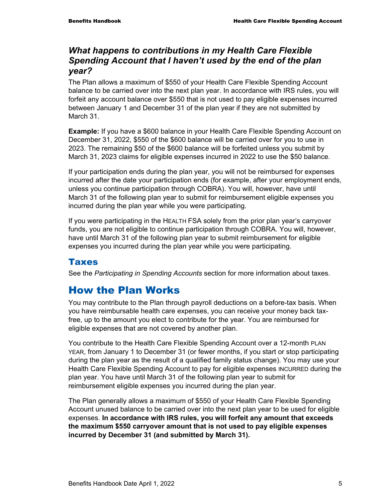#### *What happens to contributions in my Health Care Flexible Spending Account that I haven't used by the end of the plan year?*

The Plan allows a maximum of \$550 of your Health Care Flexible Spending Account balance to be carried over into the next plan year. In accordance with IRS rules, you will forfeit any account balance over \$550 that is not used to pay eligible expenses incurred between January 1 and December 31 of the plan year if they are not submitted by March 31.

**Example:** If you have a \$600 balance in your Health Care Flexible Spending Account on December 31, 2022, \$550 of the \$600 balance will be carried over for you to use in 2023. The remaining \$50 of the \$600 balance will be forfeited unless you submit by March 31, 2023 claims for eligible expenses incurred in 2022 to use the \$50 balance.

If your participation ends during the plan year, you will not be reimbursed for expenses incurred after the date your participation ends (for example, after your employment ends, unless you continue participation through COBRA). You will, however, have until March 31 of the following plan year to submit for reimbursement eligible expenses you incurred during the plan year while you were participating.

If you were participating in the HEALTH FSA solely from the prior plan year's carryover funds, you are not eligible to continue participation through COBRA. You will, however, have until March 31 of the following plan year to submit reimbursement for eligible expenses you incurred during the plan year while you were participating.

#### **Taxes**

See the *Participating in Spending Accounts* section for more information about taxes.

# How the Plan Works

You may contribute to the Plan through payroll deductions on a before-tax basis. When you have reimbursable health care expenses, you can receive your money back taxfree, up to the amount you elect to contribute for the year. You are reimbursed for eligible expenses that are not covered by another plan.

You contribute to the Health Care Flexible Spending Account over a 12-month PLAN YEAR, from January 1 to December 31 (or fewer months, if you start or stop participating during the plan year as the result of a qualified family status change). You may use your Health Care Flexible Spending Account to pay for eligible expenses INCURRED during the plan year. You have until March 31 of the following plan year to submit for reimbursement eligible expenses you incurred during the plan year.

The Plan generally allows a maximum of \$550 of your Health Care Flexible Spending Account unused balance to be carried over into the next plan year to be used for eligible expenses. **In accordance with IRS rules, you will forfeit any amount that exceeds the maximum \$550 carryover amount that is not used to pay eligible expenses incurred by December 31 (and submitted by March 31).**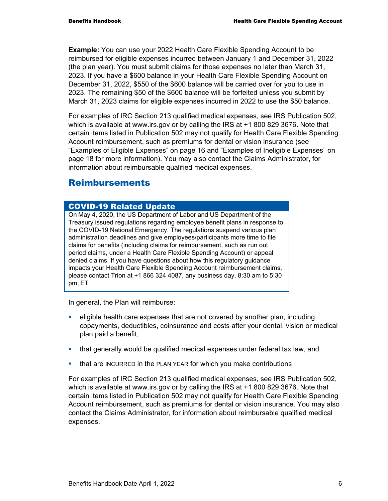**Example:** You can use your 2022 Health Care Flexible Spending Account to be reimbursed for eligible expenses incurred between January 1 and December 31, 2022 (the plan year). You must submit claims for those expenses no later than March 31, 2023. If you have a \$600 balance in your Health Care Flexible Spending Account on December 31, 2022, \$550 of the \$600 balance will be carried over for you to use in 2023. The remaining \$50 of the \$600 balance will be forfeited unless you submit by March 31, 2023 claims for eligible expenses incurred in 2022 to use the \$50 balance.

For examples of IRC Section 213 qualified medical expenses, see IRS Publication 502, which is available at www.irs.gov or by calling the IRS at +1 800 829 3676. Note that certain items listed in Publication 502 may not qualify for Health Care Flexible Spending Account reimbursement, such as premiums for dental or vision insurance (see "Examples of Eligible Expenses" on page 16 and "Examples of Ineligible Expenses" on page 18 for more information). You may also contact the Claims Administrator, for information about reimbursable qualified medical expenses.

### Reimbursements

#### COVID-19 Related Update

On May 4, 2020, the US Department of Labor and US Department of the Treasury issued regulations regarding employee benefit plans in response to the COVID-19 National Emergency. The regulations suspend various plan administration deadlines and give employees/participants more time to file claims for benefits (including claims for reimbursement, such as run out period claims, under a Health Care Flexible Spending Account) or appeal denied claims. If you have questions about how this regulatory guidance impacts your Health Care Flexible Spending Account reimbursement claims, please contact Trion at +1 866 324 4087, any business day, 8:30 am to 5:30 pm, ET*.*

In general, the Plan will reimburse:

- eligible health care expenses that are not covered by another plan, including copayments, deductibles, coinsurance and costs after your dental, vision or medical plan paid a benefit,
- that generally would be qualified medical expenses under federal tax law, and
- **that are INCURRED in the PLAN YEAR for which you make contributions**

For examples of IRC Section 213 qualified medical expenses, see IRS Publication 502, which is available at www.irs.gov or by calling the IRS at +1 800 829 3676. Note that certain items listed in Publication 502 may not qualify for Health Care Flexible Spending Account reimbursement, such as premiums for dental or vision insurance. You may also contact the Claims Administrator, for information about reimbursable qualified medical expenses.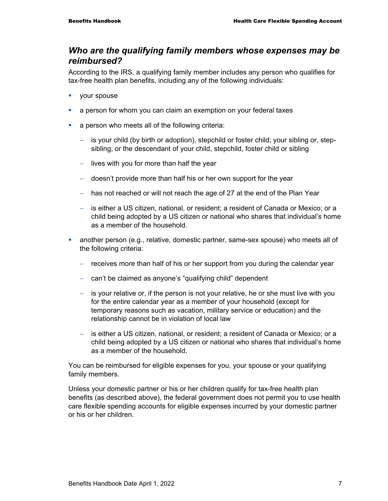#### *Who are the qualifying family members whose expenses may be reimbursed?*

According to the IRS, a qualifying family member includes any person who qualifies for tax-free health plan benefits, including any of the following individuals:

- vour spouse
- a person for whom you can claim an exemption on your federal taxes
- **a** person who meets all of the following criteria:
	- − is your child (by birth or adoption), stepchild or foster child; your sibling or, stepsibling; or the descendant of your child, stepchild, foster child or sibling
	- − lives with you for more than half the year
	- − doesn't provide more than half his or her own support for the year
	- − has not reached or will not reach the age of 27 at the end of the Plan Year
	- − is either a US citizen, national, or resident; a resident of Canada or Mexico; or a child being adopted by a US citizen or national who shares that individual's home as a member of the household.
- another person (e.g., relative, domestic partner, same-sex spouse) who meets all of the following criteria:
	- − receives more than half of his or her support from you during the calendar year
	- − can't be claimed as anyone's "qualifying child" dependent
	- − is your relative or, if the person is not your relative, he or she must live with you for the entire calendar year as a member of your household (except for temporary reasons such as vacation, military service or education) and the relationship cannot be in violation of local law
	- is either a US citizen, national, or resident; a resident of Canada or Mexico; or a child being adopted by a US citizen or national who shares that individual's home as a member of the household.

You can be reimbursed for eligible expenses for you, your spouse or your qualifying family members.

Unless your domestic partner or his or her children qualify for tax-free health plan benefits (as described above), the federal government does not permit you to use health care flexible spending accounts for eligible expenses incurred by your domestic partner or his or her children.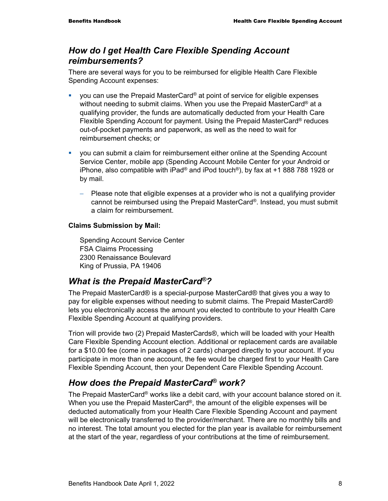#### *How do I get Health Care Flexible Spending Account reimbursements?*

There are several ways for you to be reimbursed for eligible Health Care Flexible Spending Account expenses:

- you can use the Prepaid MasterCard® at point of service for eligible expenses without needing to submit claims. When you use the Prepaid MasterCard<sup>®</sup> at a qualifying provider, the funds are automatically deducted from your Health Care Flexible Spending Account for payment. Using the Prepaid MasterCard® reduces out-of-pocket payments and paperwork, as well as the need to wait for reimbursement checks; or
- you can submit a claim for reimbursement either online at the Spending Account Service Center, mobile app (Spending Account Mobile Center for your Android or iPhone, also compatible with iPad® and iPod touch®), by fax at +1 888 788 1928 or by mail.
	- Please note that eligible expenses at a provider who is not a qualifying provider cannot be reimbursed using the Prepaid MasterCard®. Instead, you must submit a claim for reimbursement.

#### **Claims Submission by Mail:**

Spending Account Service Center FSA Claims Processing 2300 Renaissance Boulevard King of Prussia, PA 19406

#### *What is the Prepaid MasterCard®?*

The Prepaid MasterCard® is a special-purpose MasterCard® that gives you a way to pay for eligible expenses without needing to submit claims. The Prepaid MasterCard® lets you electronically access the amount you elected to contribute to your Health Care Flexible Spending Account at qualifying providers.

Trion will provide two (2) Prepaid MasterCards®, which will be loaded with your Health Care Flexible Spending Account election. Additional or replacement cards are available for a \$10.00 fee (come in packages of 2 cards) charged directly to your account. If you participate in more than one account, the fee would be charged first to your Health Care Flexible Spending Account, then your Dependent Care Flexible Spending Account.

### *How does the Prepaid MasterCard® work?*

The Prepaid MasterCard® works like a debit card, with your account balance stored on it. When you use the Prepaid MasterCard®, the amount of the eligible expenses will be deducted automatically from your Health Care Flexible Spending Account and payment will be electronically transferred to the provider/merchant. There are no monthly bills and no interest. The total amount you elected for the plan year is available for reimbursement at the start of the year, regardless of your contributions at the time of reimbursement.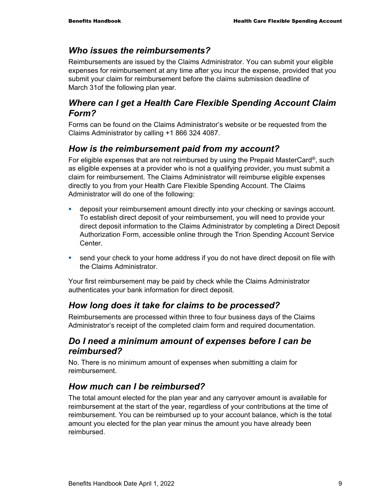#### *Who issues the reimbursements?*

Reimbursements are issued by the Claims Administrator. You can submit your eligible expenses for reimbursement at any time after you incur the expense, provided that you submit your claim for reimbursement before the claims submission deadline of March 31of the following plan year.

#### *Where can I get a Health Care Flexible Spending Account Claim Form?*

Forms can be found on the Claims Administrator's website or be requested from the Claims Administrator by calling +1 866 324 4087.

### *How is the reimbursement paid from my account?*

For eligible expenses that are not reimbursed by using the Prepaid MasterCard®, such as eligible expenses at a provider who is not a qualifying provider, you must submit a claim for reimbursement. The Claims Administrator will reimburse eligible expenses directly to you from your Health Care Flexible Spending Account. The Claims Administrator will do one of the following:

- **EXED** deposit your reimbursement amount directly into your checking or savings account. To establish direct deposit of your reimbursement, you will need to provide your direct deposit information to the Claims Administrator by completing a Direct Deposit Authorization Form, accessible online through the Trion Spending Account Service Center.
- **send your check to your home address if you do not have direct deposit on file with** the Claims Administrator.

Your first reimbursement may be paid by check while the Claims Administrator authenticates your bank information for direct deposit.

#### *How long does it take for claims to be processed?*

Reimbursements are processed within three to four business days of the Claims Administrator's receipt of the completed claim form and required documentation.

#### *Do I need a minimum amount of expenses before I can be reimbursed?*

No. There is no minimum amount of expenses when submitting a claim for reimbursement.

#### *How much can I be reimbursed?*

The total amount elected for the plan year and any carryover amount is available for reimbursement at the start of the year, regardless of your contributions at the time of reimbursement. You can be reimbursed up to your account balance, which is the total amount you elected for the plan year minus the amount you have already been reimbursed.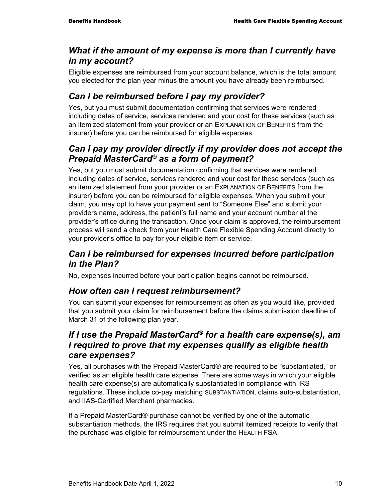#### *What if the amount of my expense is more than I currently have in my account?*

Eligible expenses are reimbursed from your account balance, which is the total amount you elected for the plan year minus the amount you have already been reimbursed.

## *Can I be reimbursed before I pay my provider?*

Yes, but you must submit documentation confirming that services were rendered including dates of service, services rendered and your cost for these services (such as an itemized statement from your provider or an EXPLANATION OF BENEFITS from the insurer) before you can be reimbursed for eligible expenses.

### *Can I pay my provider directly if my provider does not accept the Prepaid MasterCard® as a form of payment?*

Yes, but you must submit documentation confirming that services were rendered including dates of service, services rendered and your cost for these services (such as an itemized statement from your provider or an EXPLANATION OF BENEFITS from the insurer) before you can be reimbursed for eligible expenses. When you submit your claim, you may opt to have your payment sent to "Someone Else" and submit your providers name, address, the patient's full name and your account number at the provider's office during the transaction. Once your claim is approved, the reimbursement process will send a check from your Health Care Flexible Spending Account directly to your provider's office to pay for your eligible item or service.

#### *Can I be reimbursed for expenses incurred before participation in the Plan?*

No, expenses incurred before your participation begins cannot be reimbursed.

#### *How often can I request reimbursement?*

You can submit your expenses for reimbursement as often as you would like, provided that you submit your claim for reimbursement before the claims submission deadline of March 31 of the following plan year.

### *If I use the Prepaid MasterCard® for a health care expense(s), am I required to prove that my expenses qualify as eligible health care expenses?*

Yes, all purchases with the Prepaid MasterCard® are required to be "substantiated," or verified as an eligible health care expense. There are some ways in which your eligible health care expense(s) are automatically substantiated in compliance with IRS regulations. These include co-pay matching SUBSTANTIATION, claims auto-substantiation, and IIAS-Certified Merchant pharmacies.

If a Prepaid MasterCard® purchase cannot be verified by one of the automatic substantiation methods, the IRS requires that you submit itemized receipts to verify that the purchase was eligible for reimbursement under the HEALTH FSA.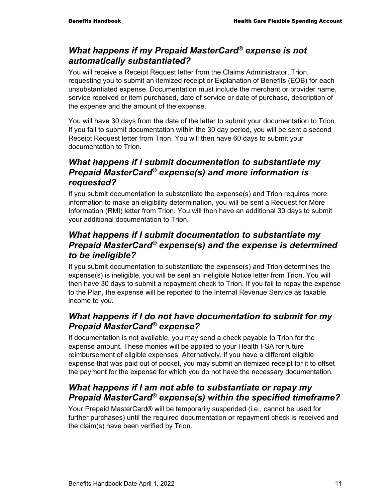### *What happens if my Prepaid MasterCard® expense is not automatically substantiated?*

You will receive a Receipt Request letter from the Claims Administrator, Trion, requesting you to submit an itemized receipt or Explanation of Benefits (EOB) for each unsubstantiated expense. Documentation must include the merchant or provider name, service received or item purchased, date of service or date of purchase, description of the expense and the amount of the expense.

You will have 30 days from the date of the letter to submit your documentation to Trion. If you fail to submit documentation within the 30 day period, you will be sent a second Receipt Request letter from Trion. You will then have 60 days to submit your documentation to Trion.

### *What happens if I submit documentation to substantiate my Prepaid MasterCard® expense(s) and more information is requested?*

If you submit documentation to substantiate the expense(s) and Trion requires more information to make an eligibility determination, you will be sent a Request for More Information (RMI) letter from Trion. You will then have an additional 30 days to submit your additional documentation to Trion.

### *What happens if I submit documentation to substantiate my Prepaid MasterCard® expense(s) and the expense is determined to be ineligible?*

If you submit documentation to substantiate the expense(s) and Trion determines the expense(s) is ineligible, you will be sent an Ineligible Notice letter from Trion. You will then have 30 days to submit a repayment check to Trion. If you fail to repay the expense to the Plan, the expense will be reported to the Internal Revenue Service as taxable income to you.

### *What happens if I do not have documentation to submit for my Prepaid MasterCard® expense?*

If documentation is not available, you may send a check payable to Trion for the expense amount. These monies will be applied to your Health FSA for future reimbursement of eligible expenses. Alternatively, if you have a different eligible expense that was paid out of pocket, you may submit an itemized receipt for it to offset the payment for the expense for which you do not have the necessary documentation.

### *What happens if I am not able to substantiate or repay my Prepaid MasterCard® expense(s) within the specified timeframe?*

Your Prepaid MasterCard® will be temporarily suspended (i.e., cannot be used for further purchases) until the required documentation or repayment check is received and the claim(s) have been verified by Trion.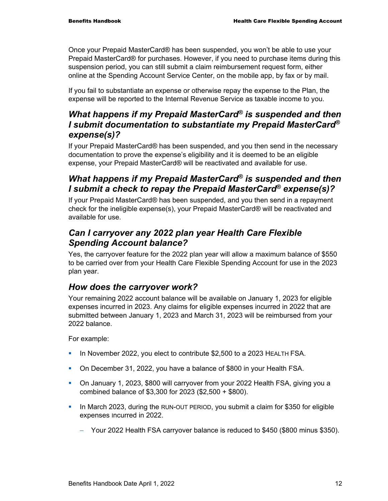Once your Prepaid MasterCard® has been suspended, you won't be able to use your Prepaid MasterCard® for purchases. However, if you need to purchase items during this suspension period, you can still submit a claim reimbursement request form, either online at the Spending Account Service Center, on the mobile app, by fax or by mail.

If you fail to substantiate an expense or otherwise repay the expense to the Plan, the expense will be reported to the Internal Revenue Service as taxable income to you.

### *What happens if my Prepaid MasterCard® is suspended and then I submit documentation to substantiate my Prepaid MasterCard® expense(s)?*

If your Prepaid MasterCard® has been suspended, and you then send in the necessary documentation to prove the expense's eligibility and it is deemed to be an eligible expense, your Prepaid MasterCard® will be reactivated and available for use.

#### *What happens if my Prepaid MasterCard® is suspended and then I submit a check to repay the Prepaid MasterCard® expense(s)?*

If your Prepaid MasterCard® has been suspended, and you then send in a repayment check for the ineligible expense(s), your Prepaid MasterCard® will be reactivated and available for use.

### *Can I carryover any 2022 plan year Health Care Flexible Spending Account balance?*

Yes, the carryover feature for the 2022 plan year will allow a maximum balance of \$550 to be carried over from your Health Care Flexible Spending Account for use in the 2023 plan year.

### *How does the carryover work?*

Your remaining 2022 account balance will be available on January 1, 2023 for eligible expenses incurred in 2023. Any claims for eligible expenses incurred in 2022 that are submitted between January 1, 2023 and March 31, 2023 will be reimbursed from your 2022 balance.

For example:

- In November 2022, you elect to contribute \$2,500 to a 2023 HEALTH FSA.
- On December 31, 2022, you have a balance of \$800 in your Health FSA.
- On January 1, 2023, \$800 will carryover from your 2022 Health FSA, giving you a combined balance of \$3,300 for 2023 (\$2,500 + \$800).
- In March 2023, during the RUN-OUT PERIOD, you submit a claim for \$350 for eligible expenses Incurred in 2022.
	- − Your 2022 Health FSA carryover balance is reduced to \$450 (\$800 minus \$350).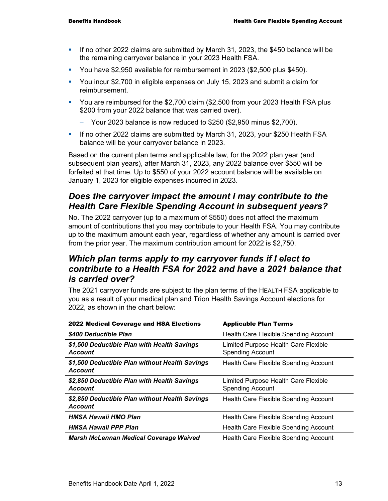- If no other 2022 claims are submitted by March 31, 2023, the \$450 balance will be the remaining carryover balance in your 2023 Health FSA.
- You have \$2,950 available for reimbursement in 2023 (\$2,500 plus \$450).
- You incur \$2,700 in eligible expenses on July 15, 2023 and submit a claim for reimbursement.
- You are reimbursed for the \$2,700 claim (\$2,500 from your 2023 Health FSA plus \$200 from your 2022 balance that was carried over).
	- − Your 2023 balance is now reduced to \$250 (\$2,950 minus \$2,700).
- If no other 2022 claims are submitted by March 31, 2023, your \$250 Health FSA balance will be your carryover balance in 2023.

Based on the current plan terms and applicable law, for the 2022 plan year (and subsequent plan years), after March 31, 2023, any 2022 balance over \$550 will be forfeited at that time. Up to \$550 of your 2022 account balance will be available on January 1, 2023 for eligible expenses incurred in 2023.

### *Does the carryover impact the amount I may contribute to the Health Care Flexible Spending Account in subsequent years?*

No. The 2022 carryover (up to a maximum of \$550) does not affect the maximum amount of contributions that you may contribute to your Health FSA. You may contribute up to the maximum amount each year, regardless of whether any amount is carried over from the prior year. The maximum contribution amount for 2022 is \$2,750.

#### *Which plan terms apply to my carryover funds if I elect to contribute to a Health FSA for 2022 and have a 2021 balance that is carried over?*

The 2021 carryover funds are subject to the plan terms of the HEALTH FSA applicable to you as a result of your medical plan and Trion Health Savings Account elections for 2022, as shown in the chart below:

| <b>2022 Medical Coverage and HSA Elections</b>                   | <b>Applicable Plan Terms</b>                                    |
|------------------------------------------------------------------|-----------------------------------------------------------------|
| \$400 Deductible Plan                                            | Health Care Flexible Spending Account                           |
| \$1,500 Deductible Plan with Health Savings<br>Account           | Limited Purpose Health Care Flexible<br><b>Spending Account</b> |
| \$1,500 Deductible Plan without Health Savings<br><b>Account</b> | Health Care Flexible Spending Account                           |
| \$2,850 Deductible Plan with Health Savings<br><b>Account</b>    | Limited Purpose Health Care Flexible<br><b>Spending Account</b> |
| \$2,850 Deductible Plan without Health Savings<br><b>Account</b> | Health Care Flexible Spending Account                           |
| <b>HMSA Hawaii HMO Plan</b>                                      | Health Care Flexible Spending Account                           |
| <b>HMSA Hawaii PPP Plan</b>                                      | Health Care Flexible Spending Account                           |
| <b>Marsh McLennan Medical Coverage Waived</b>                    | Health Care Flexible Spending Account                           |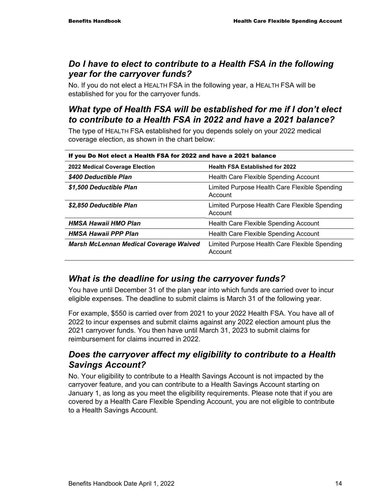#### *Do I have to elect to contribute to a Health FSA in the following year for the carryover funds?*

No. If you do not elect a HEALTH FSA in the following year, a HEALTH FSA will be established for you for the carryover funds.

### *What type of Health FSA will be established for me if I don't elect to contribute to a Health FSA in 2022 and have a 2021 balance?*

The type of HEALTH FSA established for you depends solely on your 2022 medical coverage election, as shown in the chart below:

| If you Do Not elect a Health FSA for 2022 and have a 2021 balance |                                                          |  |
|-------------------------------------------------------------------|----------------------------------------------------------|--|
| 2022 Medical Coverage Election                                    | <b>Health FSA Established for 2022</b>                   |  |
| \$400 Deductible Plan                                             | Health Care Flexible Spending Account                    |  |
| \$1,500 Deductible Plan                                           | Limited Purpose Health Care Flexible Spending<br>Account |  |
| <i><b>\$2.850 Deductible Plan</b></i>                             | Limited Purpose Health Care Flexible Spending<br>Account |  |
| <b>HMSA Hawaii HMO Plan</b>                                       | Health Care Flexible Spending Account                    |  |
| <b>HMSA Hawaii PPP Plan</b>                                       | Health Care Flexible Spending Account                    |  |
| <b>Marsh McLennan Medical Coverage Waived</b>                     | Limited Purpose Health Care Flexible Spending<br>Account |  |

### *What is the deadline for using the carryover funds?*

You have until December 31 of the plan year into which funds are carried over to incur eligible expenses. The deadline to submit claims is March 31 of the following year.

For example, \$550 is carried over from 2021 to your 2022 Health FSA. You have all of 2022 to incur expenses and submit claims against any 2022 election amount plus the 2021 carryover funds. You then have until March 31, 2023 to submit claims for reimbursement for claims incurred in 2022.

#### *Does the carryover affect my eligibility to contribute to a Health Savings Account?*

No. Your eligibility to contribute to a Health Savings Account is not impacted by the carryover feature, and you can contribute to a Health Savings Account starting on January 1, as long as you meet the eligibility requirements. Please note that if you are covered by a Health Care Flexible Spending Account, you are not eligible to contribute to a Health Savings Account.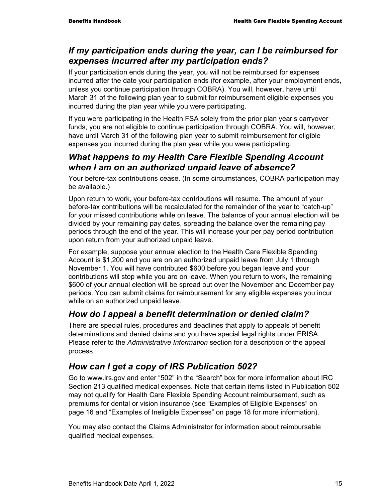#### *If my participation ends during the year, can I be reimbursed for expenses incurred after my participation ends?*

If your participation ends during the year, you will not be reimbursed for expenses incurred after the date your participation ends (for example, after your employment ends, unless you continue participation through COBRA). You will, however, have until March 31 of the following plan year to submit for reimbursement eligible expenses you incurred during the plan year while you were participating.

If you were participating in the Health FSA solely from the prior plan year's carryover funds, you are not eligible to continue participation through COBRA. You will, however, have until March 31 of the following plan year to submit reimbursement for eligible expenses you incurred during the plan year while you were participating.

#### *What happens to my Health Care Flexible Spending Account when I am on an authorized unpaid leave of absence?*

Your before-tax contributions cease. (In some circumstances, COBRA participation may be available.)

Upon return to work, your before-tax contributions will resume. The amount of your before-tax contributions will be recalculated for the remainder of the year to "catch-up" for your missed contributions while on leave. The balance of your annual election will be divided by your remaining pay dates, spreading the balance over the remaining pay periods through the end of the year. This will increase your per pay period contribution upon return from your authorized unpaid leave.

For example, suppose your annual election to the Health Care Flexible Spending Account is \$1,200 and you are on an authorized unpaid leave from July 1 through November 1. You will have contributed \$600 before you began leave and your contributions will stop while you are on leave. When you return to work, the remaining \$600 of your annual election will be spread out over the November and December pay periods. You can submit claims for reimbursement for any eligible expenses you incur while on an authorized unpaid leave.

#### *How do I appeal a benefit determination or denied claim?*

There are special rules, procedures and deadlines that apply to appeals of benefit determinations and denied claims and you have special legal rights under ERISA. Please refer to the *Administrative Information* section for a description of the appeal process.

#### *How can I get a copy of IRS Publication 502?*

Go to www.irs.gov and enter "502" in the "Search" box for more information about IRC Section 213 qualified medical expenses. Note that certain items listed in Publication 502 may not qualify for Health Care Flexible Spending Account reimbursement, such as premiums for dental or vision insurance (see "Examples of Eligible Expenses" on page 16 and "Examples of Ineligible Expenses" on page 18 for more information).

You may also contact the Claims Administrator for information about reimbursable qualified medical expenses.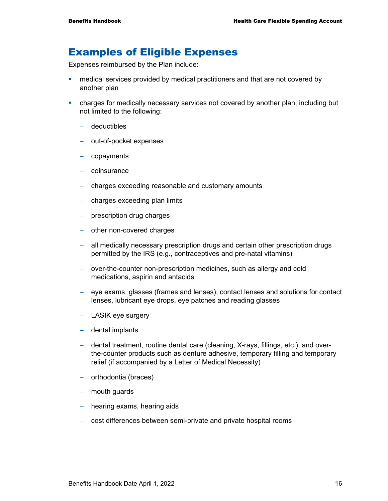### Examples of Eligible Expenses

Expenses reimbursed by the Plan include:

- **•** medical services provided by medical practitioners and that are not covered by another plan
- charges for medically necessary services not covered by another plan, including but not limited to the following:
	- − deductibles
	- − out-of-pocket expenses
	- − copayments
	- − coinsurance
	- − charges exceeding reasonable and customary amounts
	- charges exceeding plan limits
	- − prescription drug charges
	- − other non-covered charges
	- − all medically necessary prescription drugs and certain other prescription drugs permitted by the IRS (e.g., contraceptives and pre-natal vitamins)
	- − over-the-counter non-prescription medicines, such as allergy and cold medications, aspirin and antacids
	- − eye exams, glasses (frames and lenses), contact lenses and solutions for contact lenses, lubricant eye drops, eye patches and reading glasses
	- − LASIK eye surgery
	- − dental implants
	- − dental treatment, routine dental care (cleaning, X-rays, fillings, etc.), and overthe-counter products such as denture adhesive, temporary filling and temporary relief (if accompanied by a Letter of Medical Necessity)
	- − orthodontia (braces)
	- − mouth guards
	- − hearing exams, hearing aids
	- − cost differences between semi-private and private hospital rooms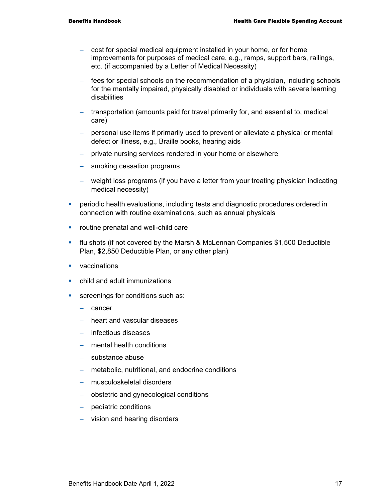- − cost for special medical equipment installed in your home, or for home improvements for purposes of medical care, e.g., ramps, support bars, railings, etc. (if accompanied by a Letter of Medical Necessity)
- − fees for special schools on the recommendation of a physician, including schools for the mentally impaired, physically disabled or individuals with severe learning disabilities
- − transportation (amounts paid for travel primarily for, and essential to, medical care)
- − personal use items if primarily used to prevent or alleviate a physical or mental defect or illness, e.g., Braille books, hearing aids
- − private nursing services rendered in your home or elsewhere
- − smoking cessation programs
- − weight loss programs (if you have a letter from your treating physician indicating medical necessity)
- **PERIODIATE:** periodic health evaluations, including tests and diagnostic procedures ordered in connection with routine examinations, such as annual physicals
- **•** routine prenatal and well-child care
- flu shots (if not covered by the Marsh & McLennan Companies \$1,500 Deductible Plan, \$2,850 Deductible Plan, or any other plan)
- **vaccinations**
- **E** child and adult immunizations
- screenings for conditions such as:
	- − cancer
	- − heart and vascular diseases
	- − infectious diseases
	- − mental health conditions
	- − substance abuse
	- − metabolic, nutritional, and endocrine conditions
	- − musculoskeletal disorders
	- − obstetric and gynecological conditions
	- − pediatric conditions
	- − vision and hearing disorders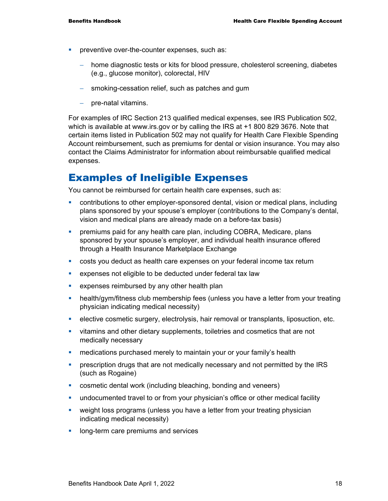- **PEDITE:** preventive over-the-counter expenses, such as:
	- − home diagnostic tests or kits for blood pressure, cholesterol screening, diabetes (e.g., glucose monitor), colorectal, HIV
	- − smoking-cessation relief, such as patches and gum
	- − pre-natal vitamins.

For examples of IRC Section 213 qualified medical expenses, see IRS Publication 502, which is available at www.irs.gov or by calling the IRS at +1 800 829 3676. Note that certain items listed in Publication 502 may not qualify for Health Care Flexible Spending Account reimbursement, such as premiums for dental or vision insurance. You may also contact the Claims Administrator for information about reimbursable qualified medical expenses.

## Examples of Ineligible Expenses

You cannot be reimbursed for certain health care expenses, such as:

- contributions to other employer-sponsored dental, vision or medical plans, including plans sponsored by your spouse's employer (contributions to the Company's dental, vision and medical plans are already made on a before-tax basis)
- premiums paid for any health care plan, including COBRA, Medicare, plans sponsored by your spouse's employer, and individual health insurance offered through a Health Insurance Marketplace Exchange
- costs you deduct as health care expenses on your federal income tax return
- expenses not eligible to be deducted under federal tax law
- **EXPENSES FEERS** reimbursed by any other health plan
- health/gym/fitness club membership fees (unless you have a letter from your treating physician indicating medical necessity)
- **EXECT** elective cosmetic surgery, electrolysis, hair removal or transplants, liposuction, etc.
- vitamins and other dietary supplements, toiletries and cosmetics that are not medically necessary
- **EXED medications purchased merely to maintain your or your family's health**
- **•** prescription drugs that are not medically necessary and not permitted by the IRS (such as Rogaine)
- cosmetic dental work (including bleaching, bonding and veneers)
- undocumented travel to or from your physician's office or other medical facility
- weight loss programs (unless you have a letter from your treating physician indicating medical necessity)
- **IDOM** long-term care premiums and services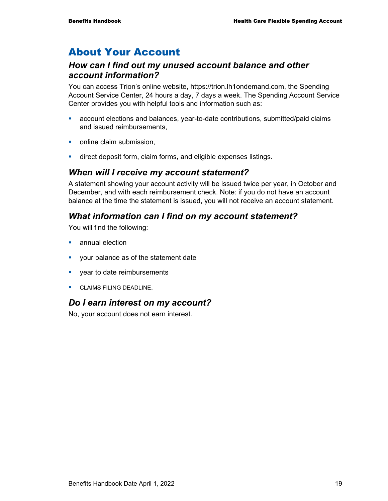# About Your Account

#### *How can I find out my unused account balance and other account information?*

You can access Trion's online website, https://trion.lh1ondemand.com, the Spending Account Service Center, 24 hours a day, 7 days a week. The Spending Account Service Center provides you with helpful tools and information such as:

- account elections and balances, year-to-date contributions, submitted/paid claims and issued reimbursements,
- online claim submission.
- **direct deposit form, claim forms, and eligible expenses listings.**

#### *When will I receive my account statement?*

A statement showing your account activity will be issued twice per year, in October and December, and with each reimbursement check. Note: if you do not have an account balance at the time the statement is issued, you will not receive an account statement.

#### *What information can I find on my account statement?*

You will find the following:

- **E** annual election
- **v** your balance as of the statement date
- **vear to date reimbursements**
- **CLAIMS FILING DEADLINE.**

#### *Do I earn interest on my account?*

No, your account does not earn interest.